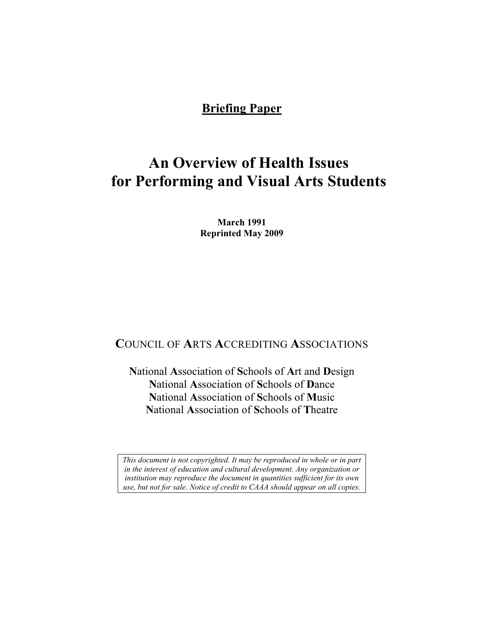## **Briefing Paper**

# **An Overview of Health Issues for Performing and Visual Arts Students**

**March 1991 Reprinted May 2009** 

# **C**OUNCIL OF **A**RTS **A**CCREDITING **A**SSOCIATIONS

**N**ational **A**ssociation of **S**chools of **A**rt and **D**esign **N**ational **A**ssociation of **S**chools of **D**ance **N**ational **A**ssociation of **S**chools of **M**usic **N**ational **A**ssociation of **S**chools of **T**heatre

*This document is not copyrighted. It may be reproduced in whole or in part in the interest of education and cultural development. Any organization or institution may reproduce the document in quantities sufficient for its own use, but not for sale. Notice of credit to CAAA should appear on all copies.*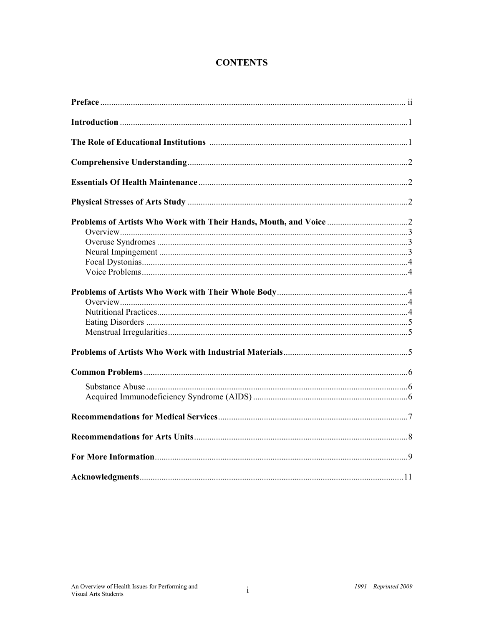## **CONTENTS**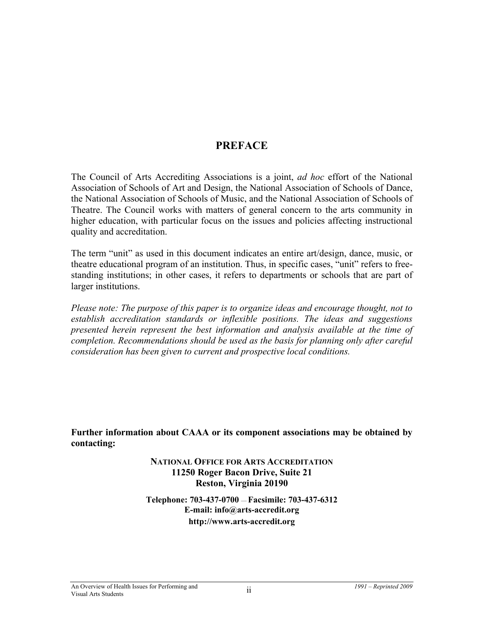# **PREFACE**

The Council of Arts Accrediting Associations is a joint, *ad hoc* effort of the National Association of Schools of Art and Design, the National Association of Schools of Dance, the National Association of Schools of Music, and the National Association of Schools of Theatre. The Council works with matters of general concern to the arts community in higher education, with particular focus on the issues and policies affecting instructional quality and accreditation.

The term "unit" as used in this document indicates an entire art/design, dance, music, or theatre educational program of an institution. Thus, in specific cases, "unit" refers to freestanding institutions; in other cases, it refers to departments or schools that are part of larger institutions.

*Please note: The purpose of this paper is to organize ideas and encourage thought, not to establish accreditation standards or inflexible positions. The ideas and suggestions presented herein represent the best information and analysis available at the time of completion. Recommendations should be used as the basis for planning only after careful consideration has been given to current and prospective local conditions.* 

**Further information about CAAA or its component associations may be obtained by contacting:** 

> **NATIONAL OFFICE FOR ARTS ACCREDITATION 11250 Roger Bacon Drive, Suite 21 Reston, Virginia 20190**

**Telephone: 703-437-0700** — **Facsimile: 703-437-6312 E-mail: info@arts-accredit.org http://www.arts-accredit.org**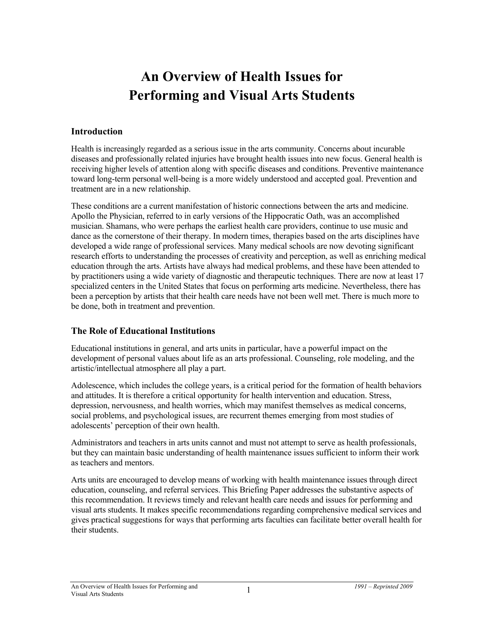# **An Overview of Health Issues for Performing and Visual Arts Students**

#### **Introduction**

Health is increasingly regarded as a serious issue in the arts community. Concerns about incurable diseases and professionally related injuries have brought health issues into new focus. General health is receiving higher levels of attention along with specific diseases and conditions. Preventive maintenance toward long-term personal well-being is a more widely understood and accepted goal. Prevention and treatment are in a new relationship.

These conditions are a current manifestation of historic connections between the arts and medicine. Apollo the Physician, referred to in early versions of the Hippocratic Oath, was an accomplished musician. Shamans, who were perhaps the earliest health care providers, continue to use music and dance as the cornerstone of their therapy. In modern times, therapies based on the arts disciplines have developed a wide range of professional services. Many medical schools are now devoting significant research efforts to understanding the processes of creativity and perception, as well as enriching medical education through the arts. Artists have always had medical problems, and these have been attended to by practitioners using a wide variety of diagnostic and therapeutic techniques. There are now at least 17 specialized centers in the United States that focus on performing arts medicine. Nevertheless, there has been a perception by artists that their health care needs have not been well met. There is much more to be done, both in treatment and prevention.

## **The Role of Educational Institutions**

Educational institutions in general, and arts units in particular, have a powerful impact on the development of personal values about life as an arts professional. Counseling, role modeling, and the artistic/intellectual atmosphere all play a part.

Adolescence, which includes the college years, is a critical period for the formation of health behaviors and attitudes. It is therefore a critical opportunity for health intervention and education. Stress, depression, nervousness, and health worries, which may manifest themselves as medical concerns, social problems, and psychological issues, are recurrent themes emerging from most studies of adolescents' perception of their own health.

Administrators and teachers in arts units cannot and must not attempt to serve as health professionals, but they can maintain basic understanding of health maintenance issues sufficient to inform their work as teachers and mentors.

Arts units are encouraged to develop means of working with health maintenance issues through direct education, counseling, and referral services. This Briefing Paper addresses the substantive aspects of this recommendation. It reviews timely and relevant health care needs and issues for performing and visual arts students. It makes specific recommendations regarding comprehensive medical services and gives practical suggestions for ways that performing arts faculties can facilitate better overall health for their students.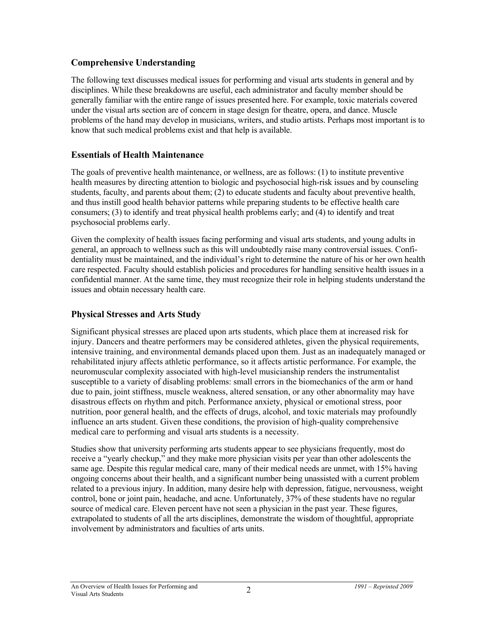## **Comprehensive Understanding**

The following text discusses medical issues for performing and visual arts students in general and by disciplines. While these breakdowns are useful, each administrator and faculty member should be generally familiar with the entire range of issues presented here. For example, toxic materials covered under the visual arts section are of concern in stage design for theatre, opera, and dance. Muscle problems of the hand may develop in musicians, writers, and studio artists. Perhaps most important is to know that such medical problems exist and that help is available.

## **Essentials of Health Maintenance**

The goals of preventive health maintenance, or wellness, are as follows: (1) to institute preventive health measures by directing attention to biologic and psychosocial high-risk issues and by counseling students, faculty, and parents about them; (2) to educate students and faculty about preventive health, and thus instill good health behavior patterns while preparing students to be effective health care consumers; (3) to identify and treat physical health problems early; and (4) to identify and treat psychosocial problems early.

Given the complexity of health issues facing performing and visual arts students, and young adults in general, an approach to wellness such as this will undoubtedly raise many controversial issues. Confidentiality must be maintained, and the individual's right to determine the nature of his or her own health care respected. Faculty should establish policies and procedures for handling sensitive health issues in a confidential manner. At the same time, they must recognize their role in helping students understand the issues and obtain necessary health care.

## **Physical Stresses and Arts Study**

Significant physical stresses are placed upon arts students, which place them at increased risk for injury. Dancers and theatre performers may be considered athletes, given the physical requirements, intensive training, and environmental demands placed upon them. Just as an inadequately managed or rehabilitated injury affects athletic performance, so it affects artistic performance. For example, the neuromuscular complexity associated with high-level musicianship renders the instrumentalist susceptible to a variety of disabling problems: small errors in the biomechanics of the arm or hand due to pain, joint stiffness, muscle weakness, altered sensation, or any other abnormality may have disastrous effects on rhythm and pitch. Performance anxiety, physical or emotional stress, poor nutrition, poor general health, and the effects of drugs, alcohol, and toxic materials may profoundly influence an arts student. Given these conditions, the provision of high-quality comprehensive medical care to performing and visual arts students is a necessity.

Studies show that university performing arts students appear to see physicians frequently, most do receive a "yearly checkup," and they make more physician visits per year than other adolescents the same age. Despite this regular medical care, many of their medical needs are unmet, with 15% having ongoing concerns about their health, and a significant number being unassisted with a current problem related to a previous injury. In addition, many desire help with depression, fatigue, nervousness, weight control, bone or joint pain, headache, and acne. Unfortunately, 37% of these students have no regular source of medical care. Eleven percent have not seen a physician in the past year. These figures, extrapolated to students of all the arts disciplines, demonstrate the wisdom of thoughtful, appropriate involvement by administrators and faculties of arts units.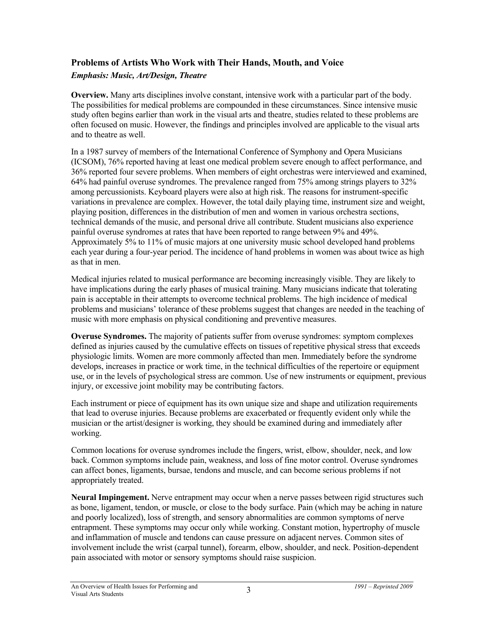#### **Problems of Artists Who Work with Their Hands, Mouth, and Voice**  *Emphasis: Music, Art/Design, Theatre*

**Overview.** Many arts disciplines involve constant, intensive work with a particular part of the body. The possibilities for medical problems are compounded in these circumstances. Since intensive music study often begins earlier than work in the visual arts and theatre, studies related to these problems are often focused on music. However, the findings and principles involved are applicable to the visual arts and to theatre as well.

In a 1987 survey of members of the International Conference of Symphony and Opera Musicians (ICSOM), 76% reported having at least one medical problem severe enough to affect performance, and 36% reported four severe problems. When members of eight orchestras were interviewed and examined, 64% had painful overuse syndromes. The prevalence ranged from 75% among strings players to 32% among percussionists. Keyboard players were also at high risk. The reasons for instrument-specific variations in prevalence are complex. However, the total daily playing time, instrument size and weight, playing position, differences in the distribution of men and women in various orchestra sections, technical demands of the music, and personal drive all contribute. Student musicians also experience painful overuse syndromes at rates that have been reported to range between 9% and 49%. Approximately 5% to 11% of music majors at one university music school developed hand problems each year during a four-year period. The incidence of hand problems in women was about twice as high as that in men.

Medical injuries related to musical performance are becoming increasingly visible. They are likely to have implications during the early phases of musical training. Many musicians indicate that tolerating pain is acceptable in their attempts to overcome technical problems. The high incidence of medical problems and musicians' tolerance of these problems suggest that changes are needed in the teaching of music with more emphasis on physical conditioning and preventive measures.

**Overuse Syndromes.** The majority of patients suffer from overuse syndromes: symptom complexes defined as injuries caused by the cumulative effects on tissues of repetitive physical stress that exceeds physiologic limits. Women are more commonly affected than men. Immediately before the syndrome develops, increases in practice or work time, in the technical difficulties of the repertoire or equipment use, or in the levels of psychological stress are common. Use of new instruments or equipment, previous injury, or excessive joint mobility may be contributing factors.

Each instrument or piece of equipment has its own unique size and shape and utilization requirements that lead to overuse injuries. Because problems are exacerbated or frequently evident only while the musician or the artist/designer is working, they should be examined during and immediately after working.

Common locations for overuse syndromes include the fingers, wrist, elbow, shoulder, neck, and low back. Common symptoms include pain, weakness, and loss of fine motor control. Overuse syndromes can affect bones, ligaments, bursae, tendons and muscle, and can become serious problems if not appropriately treated.

**Neural Impingement.** Nerve entrapment may occur when a nerve passes between rigid structures such as bone, ligament, tendon, or muscle, or close to the body surface. Pain (which may be aching in nature and poorly localized), loss of strength, and sensory abnormalities are common symptoms of nerve entrapment. These symptoms may occur only while working. Constant motion, hypertrophy of muscle and inflammation of muscle and tendons can cause pressure on adjacent nerves. Common sites of involvement include the wrist (carpal tunnel), forearm, elbow, shoulder, and neck. Position-dependent pain associated with motor or sensory symptoms should raise suspicion.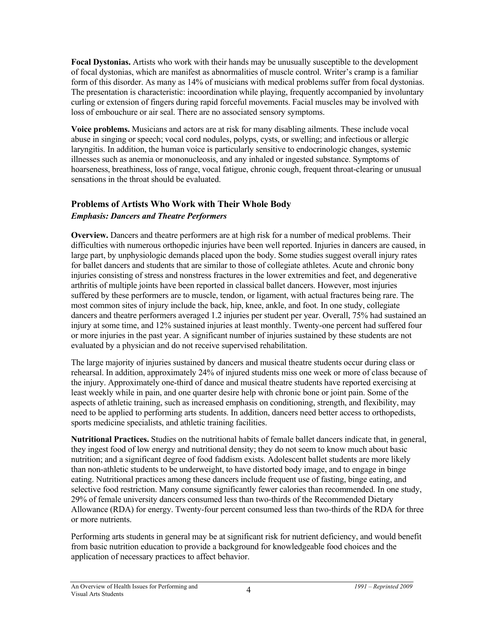**Focal Dystonias.** Artists who work with their hands may be unusually susceptible to the development of focal dystonias, which are manifest as abnormalities of muscle control. Writer's cramp is a familiar form of this disorder. As many as 14% of musicians with medical problems suffer from focal dystonias. The presentation is characteristic: incoordination while playing, frequently accompanied by involuntary curling or extension of fingers during rapid forceful movements. Facial muscles may be involved with loss of embouchure or air seal. There are no associated sensory symptoms.

**Voice problems.** Musicians and actors are at risk for many disabling ailments. These include vocal abuse in singing or speech; vocal cord nodules, polyps, cysts, or swelling; and infectious or allergic laryngitis. In addition, the human voice is particularly sensitive to endocrinologic changes, systemic illnesses such as anemia or mononucleosis, and any inhaled or ingested substance. Symptoms of hoarseness, breathiness, loss of range, vocal fatigue, chronic cough, frequent throat-clearing or unusual sensations in the throat should be evaluated.

#### **Problems of Artists Who Work with Their Whole Body**  *Emphasis: Dancers and Theatre Performers*

**Overview.** Dancers and theatre performers are at high risk for a number of medical problems. Their difficulties with numerous orthopedic injuries have been well reported. Injuries in dancers are caused, in large part, by unphysiologic demands placed upon the body. Some studies suggest overall injury rates for ballet dancers and students that are similar to those of collegiate athletes. Acute and chronic bony injuries consisting of stress and nonstress fractures in the lower extremities and feet, and degenerative arthritis of multiple joints have been reported in classical ballet dancers. However, most injuries suffered by these performers are to muscle, tendon, or ligament, with actual fractures being rare. The most common sites of injury include the back, hip, knee, ankle, and foot. In one study, collegiate dancers and theatre performers averaged 1.2 injuries per student per year. Overall, 75% had sustained an injury at some time, and 12% sustained injuries at least monthly. Twenty-one percent had suffered four or more injuries in the past year. A significant number of injuries sustained by these students are not evaluated by a physician and do not receive supervised rehabilitation.

The large majority of injuries sustained by dancers and musical theatre students occur during class or rehearsal. In addition, approximately 24% of injured students miss one week or more of class because of the injury. Approximately one-third of dance and musical theatre students have reported exercising at least weekly while in pain, and one quarter desire help with chronic bone or joint pain. Some of the aspects of athletic training, such as increased emphasis on conditioning, strength, and flexibility, may need to be applied to performing arts students. In addition, dancers need better access to orthopedists, sports medicine specialists, and athletic training facilities.

**Nutritional Practices.** Studies on the nutritional habits of female ballet dancers indicate that, in general, they ingest food of low energy and nutritional density; they do not seem to know much about basic nutrition; and a significant degree of food faddism exists. Adolescent ballet students are more likely than non-athletic students to be underweight, to have distorted body image, and to engage in binge eating. Nutritional practices among these dancers include frequent use of fasting, binge eating, and selective food restriction. Many consume significantly fewer calories than recommended. In one study, 29% of female university dancers consumed less than two-thirds of the Recommended Dietary Allowance (RDA) for energy. Twenty-four percent consumed less than two-thirds of the RDA for three or more nutrients.

Performing arts students in general may be at significant risk for nutrient deficiency, and would benefit from basic nutrition education to provide a background for knowledgeable food choices and the application of necessary practices to affect behavior.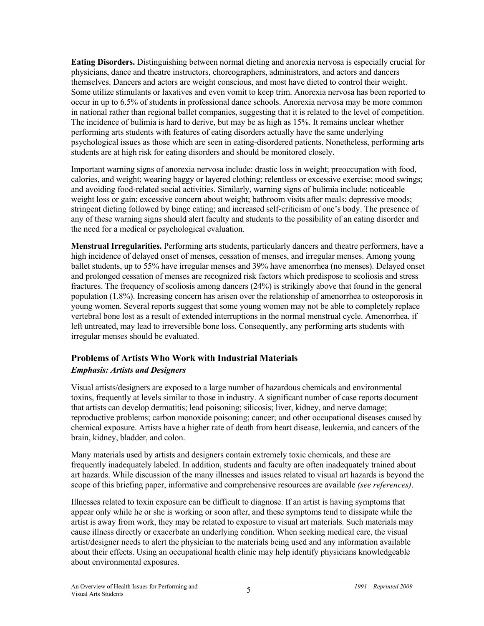**Eating Disorders.** Distinguishing between normal dieting and anorexia nervosa is especially crucial for physicians, dance and theatre instructors, choreographers, administrators, and actors and dancers themselves. Dancers and actors are weight conscious, and most have dieted to control their weight. Some utilize stimulants or laxatives and even vomit to keep trim. Anorexia nervosa has been reported to occur in up to 6.5% of students in professional dance schools. Anorexia nervosa may be more common in national rather than regional ballet companies, suggesting that it is related to the level of competition. The incidence of bulimia is hard to derive, but may be as high as 15%. It remains unclear whether performing arts students with features of eating disorders actually have the same underlying psychological issues as those which are seen in eating-disordered patients. Nonetheless, performing arts students are at high risk for eating disorders and should be monitored closely.

Important warning signs of anorexia nervosa include: drastic loss in weight; preoccupation with food, calories, and weight; wearing baggy or layered clothing; relentless or excessive exercise; mood swings; and avoiding food-related social activities. Similarly, warning signs of bulimia include: noticeable weight loss or gain; excessive concern about weight; bathroom visits after meals; depressive moods; stringent dieting followed by binge eating; and increased self-criticism of one's body. The presence of any of these warning signs should alert faculty and students to the possibility of an eating disorder and the need for a medical or psychological evaluation.

**Menstrual Irregularities.** Performing arts students, particularly dancers and theatre performers, have a high incidence of delayed onset of menses, cessation of menses, and irregular menses. Among young ballet students, up to 55% have irregular menses and 39% have amenorrhea (no menses). Delayed onset and prolonged cessation of menses are recognized risk factors which predispose to scoliosis and stress fractures. The frequency of scoliosis among dancers (24%) is strikingly above that found in the general population (1.8%). Increasing concern has arisen over the relationship of amenorrhea to osteoporosis in young women. Several reports suggest that some young women may not be able to completely replace vertebral bone lost as a result of extended interruptions in the normal menstrual cycle. Amenorrhea, if left untreated, may lead to irreversible bone loss. Consequently, any performing arts students with irregular menses should be evaluated.

#### **Problems of Artists Who Work with Industrial Materials**  *Emphasis: Artists and Designers*

#### Visual artists/designers are exposed to a large number of hazardous chemicals and environmental toxins, frequently at levels similar to those in industry. A significant number of case reports document that artists can develop dermatitis; lead poisoning; silicosis; liver, kidney, and nerve damage; reproductive problems; carbon monoxide poisoning; cancer; and other occupational diseases caused by chemical exposure. Artists have a higher rate of death from heart disease, leukemia, and cancers of the brain, kidney, bladder, and colon.

Many materials used by artists and designers contain extremely toxic chemicals, and these are frequently inadequately labeled. In addition, students and faculty are often inadequately trained about art hazards. While discussion of the many illnesses and issues related to visual art hazards is beyond the scope of this briefing paper, informative and comprehensive resources are available *(see references)*.

Illnesses related to toxin exposure can be difficult to diagnose. If an artist is having symptoms that appear only while he or she is working or soon after, and these symptoms tend to dissipate while the artist is away from work, they may be related to exposure to visual art materials. Such materials may cause illness directly or exacerbate an underlying condition. When seeking medical care, the visual artist/designer needs to alert the physician to the materials being used and any information available about their effects. Using an occupational health clinic may help identify physicians knowledgeable about environmental exposures.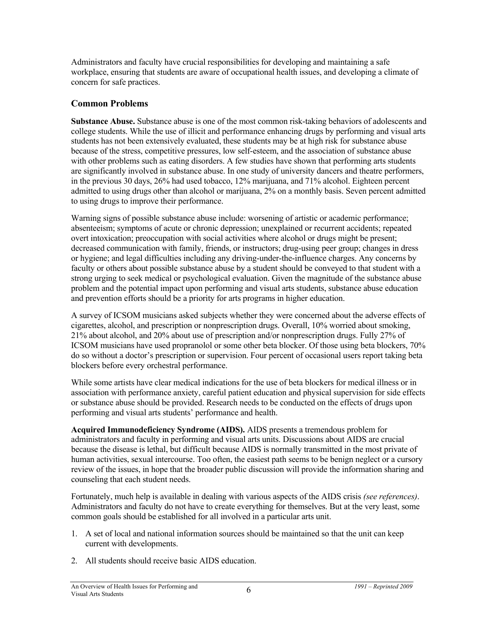Administrators and faculty have crucial responsibilities for developing and maintaining a safe workplace, ensuring that students are aware of occupational health issues, and developing a climate of concern for safe practices.

#### **Common Problems**

**Substance Abuse.** Substance abuse is one of the most common risk-taking behaviors of adolescents and college students. While the use of illicit and performance enhancing drugs by performing and visual arts students has not been extensively evaluated, these students may be at high risk for substance abuse because of the stress, competitive pressures, low self-esteem, and the association of substance abuse with other problems such as eating disorders. A few studies have shown that performing arts students are significantly involved in substance abuse. In one study of university dancers and theatre performers, in the previous 30 days, 26% had used tobacco, 12% marijuana, and 71% alcohol. Eighteen percent admitted to using drugs other than alcohol or marijuana, 2% on a monthly basis. Seven percent admitted to using drugs to improve their performance.

Warning signs of possible substance abuse include: worsening of artistic or academic performance; absenteeism; symptoms of acute or chronic depression; unexplained or recurrent accidents; repeated overt intoxication; preoccupation with social activities where alcohol or drugs might be present; decreased communication with family, friends, or instructors; drug-using peer group; changes in dress or hygiene; and legal difficulties including any driving-under-the-influence charges. Any concerns by faculty or others about possible substance abuse by a student should be conveyed to that student with a strong urging to seek medical or psychological evaluation. Given the magnitude of the substance abuse problem and the potential impact upon performing and visual arts students, substance abuse education and prevention efforts should be a priority for arts programs in higher education.

A survey of ICSOM musicians asked subjects whether they were concerned about the adverse effects of cigarettes, alcohol, and prescription or nonprescription drugs. Overall, 10% worried about smoking, 21% about alcohol, and 20% about use of prescription and/or nonprescription drugs. Fully 27% of ICSOM musicians have used propranolol or some other beta blocker. Of those using beta blockers, 70% do so without a doctor's prescription or supervision. Four percent of occasional users report taking beta blockers before every orchestral performance.

While some artists have clear medical indications for the use of beta blockers for medical illness or in association with performance anxiety, careful patient education and physical supervision for side effects or substance abuse should be provided. Research needs to be conducted on the effects of drugs upon performing and visual arts students' performance and health.

**Acquired Immunodeficiency Syndrome (AIDS).** AIDS presents a tremendous problem for administrators and faculty in performing and visual arts units. Discussions about AIDS are crucial because the disease is lethal, but difficult because AIDS is normally transmitted in the most private of human activities, sexual intercourse. Too often, the easiest path seems to be benign neglect or a cursory review of the issues, in hope that the broader public discussion will provide the information sharing and counseling that each student needs.

Fortunately, much help is available in dealing with various aspects of the AIDS crisis *(see references)*. Administrators and faculty do not have to create everything for themselves. But at the very least, some common goals should be established for all involved in a particular arts unit.

- 1. A set of local and national information sources should be maintained so that the unit can keep current with developments.
- 2. All students should receive basic AIDS education.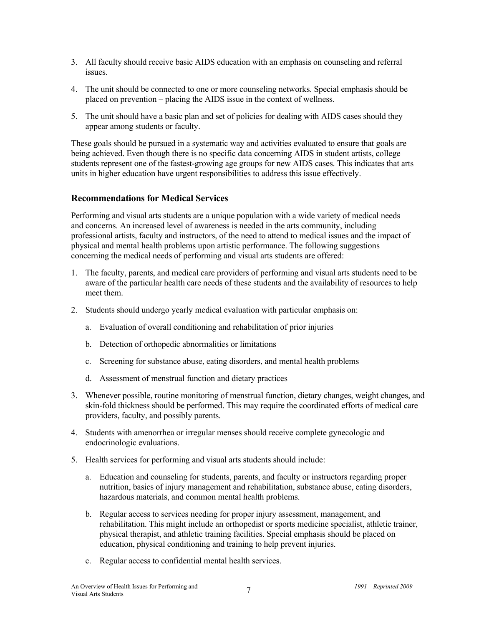- 3. All faculty should receive basic AIDS education with an emphasis on counseling and referral issues.
- 4. The unit should be connected to one or more counseling networks. Special emphasis should be placed on prevention – placing the AIDS issue in the context of wellness.
- 5. The unit should have a basic plan and set of policies for dealing with AIDS cases should they appear among students or faculty.

These goals should be pursued in a systematic way and activities evaluated to ensure that goals are being achieved. Even though there is no specific data concerning AIDS in student artists, college students represent one of the fastest-growing age groups for new AIDS cases. This indicates that arts units in higher education have urgent responsibilities to address this issue effectively.

### **Recommendations for Medical Services**

Performing and visual arts students are a unique population with a wide variety of medical needs and concerns. An increased level of awareness is needed in the arts community, including professional artists, faculty and instructors, of the need to attend to medical issues and the impact of physical and mental health problems upon artistic performance. The following suggestions concerning the medical needs of performing and visual arts students are offered:

- 1. The faculty, parents, and medical care providers of performing and visual arts students need to be aware of the particular health care needs of these students and the availability of resources to help meet them.
- 2. Students should undergo yearly medical evaluation with particular emphasis on:
	- a. Evaluation of overall conditioning and rehabilitation of prior injuries
	- b. Detection of orthopedic abnormalities or limitations
	- c. Screening for substance abuse, eating disorders, and mental health problems
	- d. Assessment of menstrual function and dietary practices
- 3. Whenever possible, routine monitoring of menstrual function, dietary changes, weight changes, and skin-fold thickness should be performed. This may require the coordinated efforts of medical care providers, faculty, and possibly parents.
- 4. Students with amenorrhea or irregular menses should receive complete gynecologic and endocrinologic evaluations.
- 5. Health services for performing and visual arts students should include:
	- a. Education and counseling for students, parents, and faculty or instructors regarding proper nutrition, basics of injury management and rehabilitation, substance abuse, eating disorders, hazardous materials, and common mental health problems.
	- b. Regular access to services needing for proper injury assessment, management, and rehabilitation. This might include an orthopedist or sports medicine specialist, athletic trainer, physical therapist, and athletic training facilities. Special emphasis should be placed on education, physical conditioning and training to help prevent injuries.
	- c. Regular access to confidential mental health services.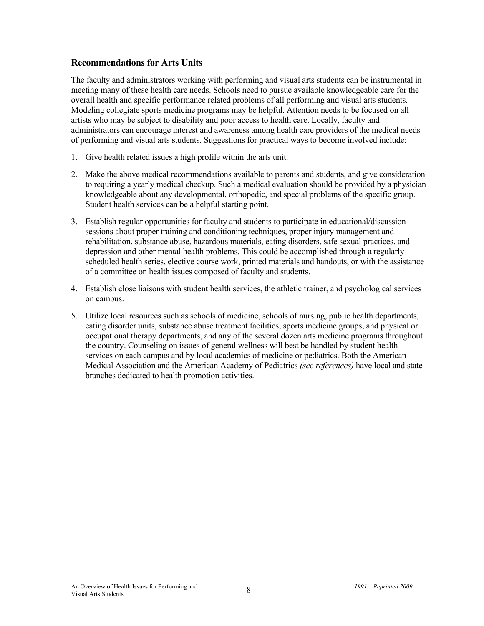#### **Recommendations for Arts Units**

The faculty and administrators working with performing and visual arts students can be instrumental in meeting many of these health care needs. Schools need to pursue available knowledgeable care for the overall health and specific performance related problems of all performing and visual arts students. Modeling collegiate sports medicine programs may be helpful. Attention needs to be focused on all artists who may be subject to disability and poor access to health care. Locally, faculty and administrators can encourage interest and awareness among health care providers of the medical needs of performing and visual arts students. Suggestions for practical ways to become involved include:

- 1. Give health related issues a high profile within the arts unit.
- 2. Make the above medical recommendations available to parents and students, and give consideration to requiring a yearly medical checkup. Such a medical evaluation should be provided by a physician knowledgeable about any developmental, orthopedic, and special problems of the specific group. Student health services can be a helpful starting point.
- 3. Establish regular opportunities for faculty and students to participate in educational/discussion sessions about proper training and conditioning techniques, proper injury management and rehabilitation, substance abuse, hazardous materials, eating disorders, safe sexual practices, and depression and other mental health problems. This could be accomplished through a regularly scheduled health series, elective course work, printed materials and handouts, or with the assistance of a committee on health issues composed of faculty and students.
- 4. Establish close liaisons with student health services, the athletic trainer, and psychological services on campus.
- 5. Utilize local resources such as schools of medicine, schools of nursing, public health departments, eating disorder units, substance abuse treatment facilities, sports medicine groups, and physical or occupational therapy departments, and any of the several dozen arts medicine programs throughout the country. Counseling on issues of general wellness will best be handled by student health services on each campus and by local academics of medicine or pediatrics. Both the American Medical Association and the American Academy of Pediatrics *(see references)* have local and state branches dedicated to health promotion activities.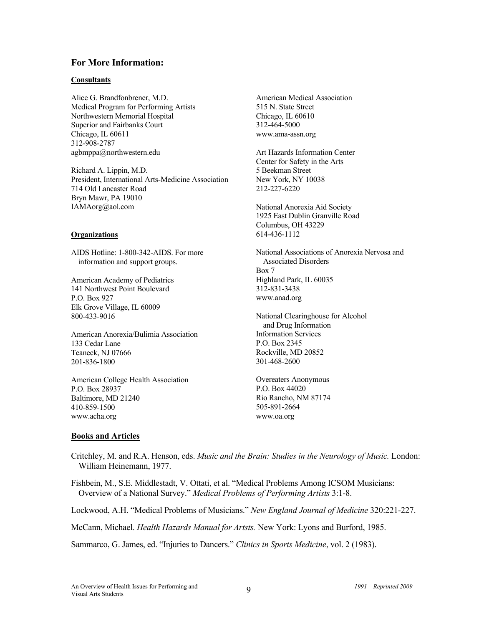#### **For More Information:**

#### **Consultants**

Alice G. Brandfonbrener, M.D. Medical Program for Performing Artists Northwestern Memorial Hospital Superior and Fairbanks Court Chicago, IL 60611 312-908-2787 agbmppa@northwestern.edu

Richard A. Lippin, M.D. President, International Arts-Medicine Association 714 Old Lancaster Road Bryn Mawr, PA 19010 IAMAorg@aol.com

#### **Organizations**

AIDS Hotline: 1-800-342-AIDS. For more information and support groups.

American Academy of Pediatrics 141 Northwest Point Boulevard P.O. Box 927 Elk Grove Village, IL 60009 800-433-9016

American Anorexia/Bulimia Association 133 Cedar Lane Teaneck, NJ 07666 201-836-1800

American College Health Association P.O. Box 28937 Baltimore, MD 21240 410-859-1500 www.acha.org

American Medical Association 515 N. State Street Chicago, IL 60610 312-464-5000 www.ama-assn.org

Art Hazards Information Center Center for Safety in the Arts 5 Beekman Street New York, NY 10038 212-227-6220

National Anorexia Aid Society 1925 East Dublin Granville Road Columbus, OH 43229 614-436-1112

National Associations of Anorexia Nervosa and Associated Disorders Box 7 Highland Park, IL 60035 312-831-3438 www.anad.org

National Clearinghouse for Alcohol and Drug Information Information Services P.O. Box 2345 Rockville, MD 20852 301-468-2600

Overeaters Anonymous P.O. Box 44020 Rio Rancho, NM 87174 505-891-2664 www.oa.org

#### **Books and Articles**

Critchley, M. and R.A. Henson, eds. *Music and the Brain: Studies in the Neurology of Music.* London: William Heinemann, 1977.

Fishbein, M., S.E. Middlestadt, V. Ottati, et al. "Medical Problems Among ICSOM Musicians: Overview of a National Survey." *Medical Problems of Performing Artists* 3:1-8.

Lockwood, A.H. "Medical Problems of Musicians." *New England Journal of Medicine* 320:221-227.

McCann, Michael. *Health Hazards Manual for Artsts.* New York: Lyons and Burford, 1985.

Sammarco, G. James, ed. "Injuries to Dancers." *Clinics in Sports Medicine*, vol. 2 (1983).